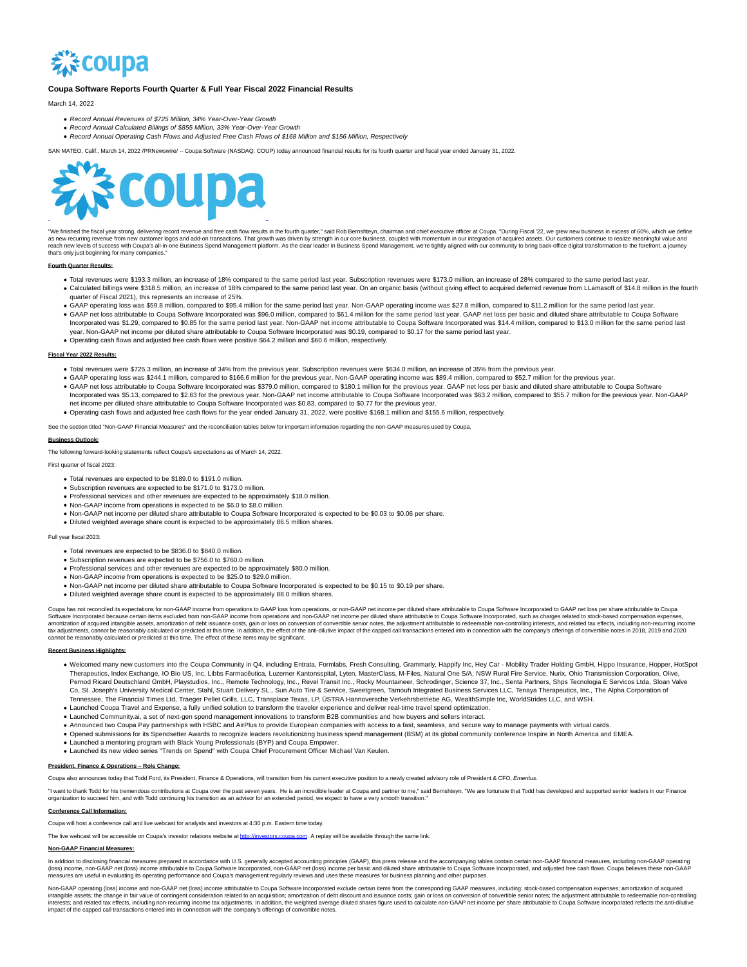# 様coupa

#### **Coupa Software Reports Fourth Quarter & Full Year Fiscal 2022 Financial Results**

March 14, 2022

- Record Annual Revenues of \$725 Million, 34% Year-Over-Year Growth
- Record Annual Calculated Billings of \$855 Million, 33% Year-Over-Year Growth
- Record Annual Operating Cash Flows and Adjusted Free Cash Flows of \$168 Million and \$156 Million, Respectively

SAN MATEO, Calif., March 14, 2022 /PRNewswire/ -- Coupa Software (NASDAQ: COUP) today announced financial results for its fourth quarter and fiscal year ended January 31, 2022.



"We finished the fiscal year strong, delivering record revenue and free cash flow results in the fouth quarter," said Rob Bernshteyn, chairman and chief executive officer at Coupa. "During Fiscal '22, we grew new business that's only just beginning for many companies."

#### **Fourth Quarter Res**

- . Total revenues were \$193.3 million, an increase of 18% compared to the same period last year. Subscription revenues were \$173.0 million, an increase of 28% compared to the same period last year. • Calculated billings were \$318.5 million, an increase of 18% compared to the same period last year. On an organic basis (without giving effect to acquired deferred revenue from LLamasoft of \$14.8 million in the fourth
- quarter of Fiscal 2021), this represents an increase of 25%.
- GAAP operating loss was \$59.8 million, compared to \$95.4 million for the same period last year. Non-GAAP operating income was \$27.8 million, compared to \$11.2 million for the same period last year.
- · GAAP net loss attributable to Coupa Software Incorporated was \$96.0 million, compared to \$61.4 million for the same period last year. GAAP net loss per basic and diluted share attributable to Coupa Software Incorporated was \$1.29, compared to \$0.85 for the same period last year. Non-GAAP net income attributable to Coupa Software Incorporated was \$14.4 million, compared to \$13.0 million for the same period last
- year. Non-GAAP net income per diluted share attributable to Coupa Software Incorporated was \$0.19, compared to \$0.17 for the same period last year.
- Operating cash flows and adjusted free cash flows were positive \$64.2 million and \$60.6 million, respectively.

#### **Fiscal Year 2022 Results:**

- 
- Total revenues were \$725.3 million, an increase of 34% from the previous year. Subscription revenues were \$634.0 million, an increase of 35% from the previous year.<br>GAAP operating loss was \$244.1 million, compared to \$166.
- GAAP net loss attributable to Coupa Software Incorporated was \$379.0 million, compared to \$180.1 million for the previous year. GAAP net loss per basic and diluted share attributable to Coupa Software Incorporated was \$5.13, compared to \$2.63 for the previous year. Non-GAAP net income attributable to Coupa Software Incorporated was \$63.2 million, compared to \$55.7 million for the previous year. Non-GAAP<br>net income per d
- Operating cash flows and adjusted free cash flows for the year ended January 31, 2022, were positive \$168.1 million and \$155.6 million, respectively.

See the section titled "Non-GAAP Financial Measures" and the reconciliation tables below for important information regarding the non-GAAP measures used by Coupa.

#### **Business Outlook:**

The following forward-looking statements reflect Coupa's expectations as of March 14, 2022.

First quarter of fiscal 2023:

- Total revenues are expected to be \$189.0 to \$191.0 million.
- Subscription revenues are expected to be \$171.0 to \$173.0 million.
- Professional services and other revenues are expected to be approximately \$18.0 million.
- Non-GAAP income from operations is expected to be \$6.0 to \$8.0 million.
- Non-GAAP net income per diluted share attributable to Coupa Software Incorporated is expected to be \$0.03 to \$0.06 per share.
- Diluted weighted average share count is expected to be approximately 86.5 million shares.

Full year fiscal 2023:

- Total revenues are expected to be \$836.0 to \$840.0 million.
- Subscription revenues are expected to be \$756.0 to \$760.0 million. Professional services and other revenues are expected to be approximately \$80.0 million.
- 
- Non-GAAP income from operations is expected to be \$25.0 to \$29.0 million. . Non-GAAP net income per diluted share attributable to Coupa Software Incorporated is expected to be \$0.15 to \$0.19 per share.
- 
- Diluted weighted average share count is expected to be approximately 88.0 million shares.

Coupa has not reconciled its expectations for non-GAAP income from operations to GAAP loss from operations, or non-GAAP net income per diluted share attributable to Coupa Software Incorporated to GAAP net loss per share at tax adjustments, cannot be reasonably calculated or predicted at this time. In addition, the effect of the anti-dilutive impact of the capped call transactions entered into in connection with the company's offerings of con can dependence, cannot be reasonably calculated or predicted at this time. The effect of these items may be significant.

#### **Recent Business Highlights:**

- . Welcomed many new customers into the Coupa Community in Q4, including Entrata, Formlabs, Fresh Consulting, Grammarly, Happify Inc, Hey Car Mobility Trader Holding GmbH, Hippo Insurance, Hopper, HotSpot Therapeutics, Index Exchange, IO Bio US, Inc, Libbs Farmacêutica, Luzerner Kantonsspital, Lyten, MasterClass, M-Files, Natural One S/A, NSW Rural Fire Service, Nurix, Ohio Transmission Corporation, Olive, Pernod Ricard Deutschland GmbH, Playstudios, Inc., Remote Technology, Inc., Revel Transit Inc., Rocky Mountaineer, Schrodinger, Science 37, Inc., Senta Partners, Shps Tecnologia E Servicos Ltda, Sloan Valve Co, St. Joseph's University Medical Center, Stahl, Stuart Delivery SL., Sun Auto Tire & Service, Sweetgreen, Tamouh Integrated Business Services LLC, Tenaya Therapeutics, Inc., The Alpha Corporation of Tennessee, The Financial Times Ltd, Traeger Pellet Grills, LLC, Transplace Texas, LP, ÜSTRA Hannoversche Verkehrsbetriebe AG, WealthSimple Inc, WorldStrides LLC, and WSH.
- Launched Coupa Travel and Expense, a fully unified solution to transform the traveler experience and deliver real-time travel spend optimization. Launched Community.ai, a set of next-gen spend management innovations to transform B2B communities and how buyers and sellers interact.
- 
- . Announced two Coupa Pay partnerships with HSBC and AirPlus to provide European companies with access to a fast, seamless, and secure way to manage payments with virtual cards.
- Opened submissions for its Spendsetter Awards to recognize leaders revolutionizing business spend management (BSM) at its global community conference Inspire in North America and EMEA.<br>Launched a mentoring program with Bla
- 
- Launched its new video series "Trends on Spend" with Coupa Chief Procurement Officer Michael Van Keulen.

#### **President, Finance & Operations – Role Change:**

Coupa also announces today that Todd Ford, its President, Finance & Operations, will transition from his current executive position to a newly created advisory role of President & CFO, Emeritus.

"I want to thank Todd for his tremendous contributions at Coupa over the past seven years. He is an incredible leader at Coupa and partner to me." said Bernshteyn. "We are fortunate that Todd has developed and supported se organization to succeed him, and with Todd continuing his transition as an advisor for an extended period, we expect to have a very smooth transition."

#### **Conference Call Information:**

Coupa will host a conference call and live webcast for analysts and investors at 4:30 p.m. Eastern time today.

The live webcast will be accessible on Coupa's investor relations website at [http://investors.coupa.com.](https://c212.net/c/link/?t=0&l=en&o=3471428-1&h=307446211&u=http%3A%2F%2Finvestors.coupa.com%2F&a=http%3A%2F%2Finvestors.coupa.com) A replay will be available through the same link.

#### **Non-GAAP Financial Measures:**

In addition to disclosing financial measures prepared in accordance with U.S. generally accepted accounting principles (GAAP), this press release and the accompanying tables contain certain non-GAAP financial measures, inc (loss) income, non-GAAP net (loss) income attributable to Coupa Software Incorporated, non-GAAP net (loss) income per basic and diluted share attributable to Coupa Software Incorporated, and adjusted free cash flows. Coupa

Non-GAAP operating (loss) income and non-GAAP net (loss) income attributable to Coupa Software Incorporated exclude certain items from the corresponding GAAP measures, including: stock-based compensation expenses; amortiza intangible assets; the change in fair value of contingent consideration related to an acquistion; amotization of debt discount and issuarce costs; gain or loss on conversion of convertible senior notas; the adjustments and impact of the capped call transactions entered into in connection with the company's offerings of convertible notes.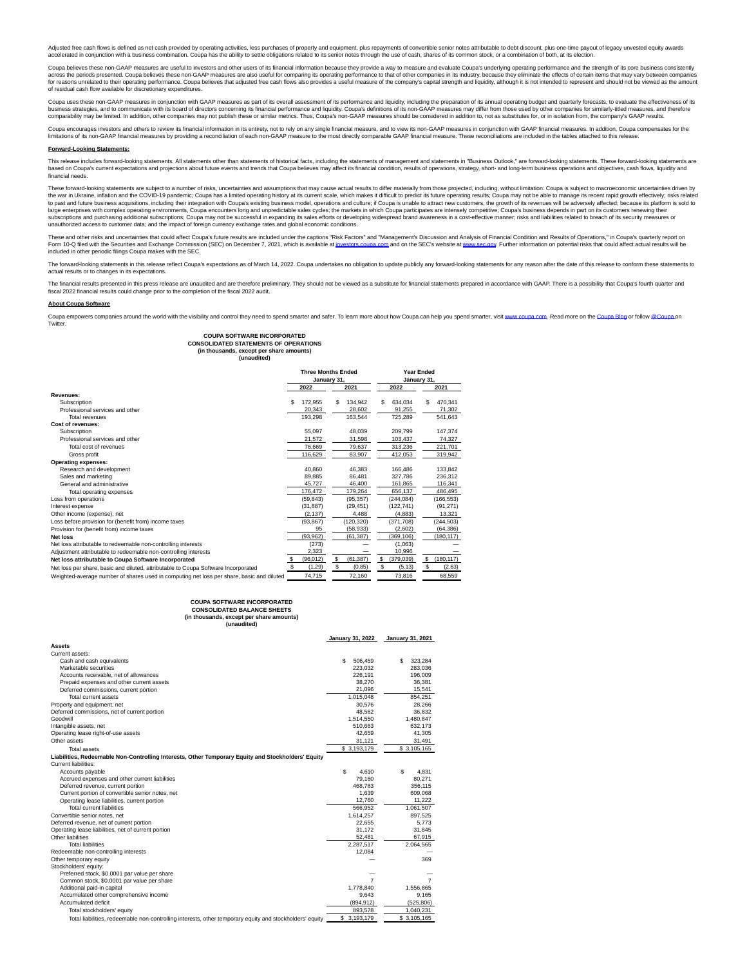Adjusted free cash flows is defined as net cash provided by operating activities, less purchases of property and equipment, plus repayments of convertible senior notes attributable to debt discount, plus one-time payout of accelerated in conjunction with a business combination. Coupa has the ability to settle obligations related to its senior notes through the use of cash, shares of its common stock, or a combination of both, at its election

Coupa believes these non-GAAP measures are useful to investors and other users of its financial information because they provide a way to measure and evaluate Coupa's underlying operating performance and the strength of it account of the periods presented. Couple believes these non-GAAP measures are also useful for companing its operating performance to that of other companies in its industry, because they eliminate the effects of certain te for reasons unrelated to their operating performance. Coupa believes that adjusted free cash flows also provides a useful measure of the company's capital strength and liquidity, although it is not intended to represent an of residual cash flow available for discretionary expenditures.

Coupa uses these non-GAAP measures in conjunction with GAAP measures as part of its overall assessment of its performance and liquidity, including the preparation of its annual operating budget and quarterly forecasts, to

Coupa encourages investors and others to review its financial information in its entirety, not to rely on any single financial measure, and to view its non-GAP measures in conjunction with GAP financial measure in the date

#### **Forward-Looking Statements:**

This release includes forward-looking statements. All statements other than statements of historical facts, including the statements of management and statements in "Business Outlook," are forward-looking statements. These based on Coupa's current expectations and projections about future events and trends that Coupa believes may affect its financial condition, results of operations, strategy, short- and long-term business operations and obj financial needs.

These forward-looking statements are subiect to a number of risks, uncertainties and assumptions that may cause actual results to differ materially from those projected, including, without limitation; Coupa is subject to m the war in Ukraine, inflation and the COVID-19 pandemic; Coupa has a limited operating history at its current scale, which makes it difficult to predict its future operating results; Coupa may not be able to manage its rec subscriptions and purchasing additional subscriptions; Coupa may not be successful in expanding its sales efforts or developing widespread brand awareness in a cost-effective manner; risks and liabilities related to breach unauthorized access to customer data; and the impact of foreign currency exchange rates and global economic conditions.

These and other risks and uncertainties that could affect Coupa's future results are included under the captions "Risk Factors" and "Management's Discussion and Analysis of Financial Condition and Results of Operations," i stors.coupa.com and on the SEC's website a[t www.sec.gov.](http://www.sec.gov/) Further information on potential risks that could affect actual results will be From 10-Q filed with the Securities and Exchange Commission (SEC) on December 7, 2021, which is available at inversion (SEC) in December 7, 2021, which is available at inversion (securities and Exchange Commission (SEC) on

The forward-looking statements in this release reflect Coupa's expectations as of March 14, 2022. Coupa undertakes no obligation to update publicly any forward-looking statements for any reason after the date of this relea actual results or to changes in its expectations.

The financial results presented in this press release are unaudited and are therefore preliminary. They should not be viewed as a substitute for financial statements prepared in accordance with GAAP. There is a possibility

#### **About Coupa Software**

Coupa empowers companies around the world with the visibility and control they need to spend smarter and safer. To learn more about how Coupa can help you spend smarter, visit [www.coupa.com.](https://c212.net/c/link/?t=0&l=en&o=3471428-1&h=35061736&u=http%3A%2F%2Fwww.coupa.com%2F&a=www.coupa.com) Read more on th[e Coupa Blog o](https://c212.net/c/link/?t=0&l=en&o=3471428-1&h=4190802281&u=https%3A%2F%2Fwww.coupa.com%2Fblog&a=Coupa+Blog)r **Twitter** 

### **COUPA SOFTWARE INCORPORATED CONSOLIDATED STATEMENTS OF OPERATIONS (in thousands, except per share amounts) (unaudited)**

|                                                                                           | <b>Three Months Ended</b><br>January 31, |      |            |    | <b>Year Ended</b><br>January 31, |    |            |
|-------------------------------------------------------------------------------------------|------------------------------------------|------|------------|----|----------------------------------|----|------------|
|                                                                                           | 2022                                     | 2021 |            |    | 2022                             |    | 2021       |
| Revenues:                                                                                 |                                          |      |            |    |                                  |    |            |
| Subscription                                                                              | \$<br>172.955                            | s    | 134.942    | s  | 634.034                          | \$ | 470.341    |
| Professional services and other                                                           | 20.343                                   |      | 28.602     |    | 91,255                           |    | 71,302     |
| Total revenues                                                                            | 193.298                                  |      | 163.544    |    | 725.289                          |    | 541.643    |
| Cost of revenues:                                                                         |                                          |      |            |    |                                  |    |            |
| Subscription                                                                              | 55,097                                   |      | 48.039     |    | 209,799                          |    | 147,374    |
| Professional services and other                                                           | 21,572                                   |      | 31,598     |    | 103,437                          |    | 74,327     |
| Total cost of revenues                                                                    | 76.669                                   |      | 79.637     |    | 313,236                          |    | 221,701    |
| Gross profit                                                                              | 116,629                                  |      | 83,907     |    | 412,053                          |    | 319,942    |
| <b>Operating expenses:</b>                                                                |                                          |      |            |    |                                  |    |            |
| Research and development                                                                  | 40.860                                   |      | 46.383     |    | 166.486                          |    | 133.842    |
| Sales and marketing                                                                       | 89,885                                   |      | 86.481     |    | 327.786                          |    | 236,312    |
| General and administrative                                                                | 45.727                                   |      | 46.400     |    | 161,865                          |    | 116.341    |
| Total operating expenses                                                                  | 176,472                                  |      | 179.264    |    | 656.137                          |    | 486,495    |
| Loss from operations                                                                      | (59, 843)                                |      | (95, 357)  |    | (244.084)                        |    | (166, 553) |
| Interest expense                                                                          | (31, 887)                                |      | (29, 451)  |    | (122, 741)                       |    | (91, 271)  |
| Other income (expense), net                                                               | (2.137)                                  |      | 4.488      |    | (4.883)                          |    | 13,321     |
| Loss before provision for (benefit from) income taxes                                     | (93, 867)                                |      | (120, 320) |    | (371,708)                        |    | (244, 503) |
| Provision for (benefit from) income taxes                                                 | 95                                       |      | (58, 933)  |    | (2,602)                          |    | (64, 386)  |
| Net loss                                                                                  | (93, 962)                                |      | (61, 387)  |    | (369, 106)                       |    | (180, 117) |
| Net loss attributable to redeemable non-controlling interests                             | (273)                                    |      |            |    | (1,063)                          |    |            |
| Adjustment attributable to redeemable non-controlling interests                           | 2,323                                    |      |            |    | 10,996                           |    |            |
| Net loss attributable to Coupa Software Incorporated                                      | (96, 012)                                | \$   | (61, 387)  | \$ | (379, 039)                       | s  | (180, 117) |
| Net loss per share, basic and diluted, attributable to Coupa Software Incorporated        | \$<br>(1.29)                             | s    | (0.85)     | s  | (5.13)                           | s  | (2.63)     |
| Weighted-average number of shares used in computing net loss per share, basic and diluted | 74.715                                   |      | 72.160     |    | 73.816                           |    | 68.559     |

#### **COUPA SOFTWARE INCORPORATED CONSOLIDATED BALANCE SHEETS**

**(in thousands, except per share amounts) (unaudited)**

|                                                                                                          | <b>January 31, 2022</b> | <b>January 31, 2021</b> |
|----------------------------------------------------------------------------------------------------------|-------------------------|-------------------------|
| <b>Assets</b>                                                                                            |                         |                         |
| Current assets:                                                                                          |                         |                         |
| Cash and cash equivalents                                                                                | \$<br>506.459           | 323.284<br>S            |
| Marketable securities                                                                                    | 223,032                 | 283,036                 |
| Accounts receivable, net of allowances                                                                   | 226.191                 | 196,009                 |
| Prepaid expenses and other current assets                                                                | 38,270                  | 36.381                  |
| Deferred commissions, current portion                                                                    | 21.096                  | 15.541                  |
| Total current assets                                                                                     | 1.015.048               | 854,251                 |
| Property and equipment, net                                                                              | 30.576                  | 28.266                  |
| Deferred commissions, net of current portion                                                             | 48.562                  | 36,832                  |
| Goodwill                                                                                                 | 1,514,550               | 1,480,847               |
| Intangible assets, net                                                                                   | 510,663                 | 632.173                 |
| Operating lease right-of-use assets                                                                      | 42,659                  | 41,305                  |
| Other assets                                                                                             | 31,121                  | 31,491                  |
| Total assets                                                                                             | \$3,193,179             | \$3,105,165             |
| Liabilities, Redeemable Non-Controlling Interests, Other Temporary Equity and Stockholders' Equity       |                         |                         |
| Current liabilities:                                                                                     |                         |                         |
| Accounts payable                                                                                         | \$.<br>4.610            | \$<br>4.831             |
| Accrued expenses and other current liabilities                                                           | 79.160                  | 80.271                  |
| Deferred revenue, current portion                                                                        | 468.783                 | 356.115                 |
| Current portion of convertible senior notes, net                                                         | 1,639                   | 609,068                 |
| Operating lease liabilities, current portion                                                             | 12.760                  | 11,222                  |
| Total current liabilities                                                                                | 566.952                 | 1.061.507               |
| Convertible senior notes, net                                                                            | 1,614,257               | 897,525                 |
| Deferred revenue, net of current portion                                                                 | 22.655                  | 5.773                   |
| Operating lease liabilities, net of current portion                                                      | 31.172                  | 31.845                  |
| Other liabilities                                                                                        | 52,481                  | 67.915                  |
| <b>Total liabilities</b>                                                                                 | 2,287,517               | 2,064,565               |
| Redeemable non-controlling interests                                                                     | 12,084                  |                         |
| Other temporary equity                                                                                   |                         | 369                     |
| Stockholders' equity:                                                                                    |                         |                         |
| Preferred stock, \$0.0001 par value per share                                                            |                         |                         |
| Common stock, \$0.0001 par value per share                                                               | $\overline{7}$          | $\overline{7}$          |
| Additional paid-in capital                                                                               | 1.778.840               | 1.556.865               |
| Accumulated other comprehensive income                                                                   | 9,643                   | 9,165                   |
| Accumulated deficit                                                                                      | (894.912)               | (525, 806)              |
| Total stockholders' equity                                                                               | 893,578                 | 1,040,231               |
| Total liabilities, redeemable non-controlling interests, other temporary equity and stockholders' equity | s.<br>3,193,179         | \$3,105,165             |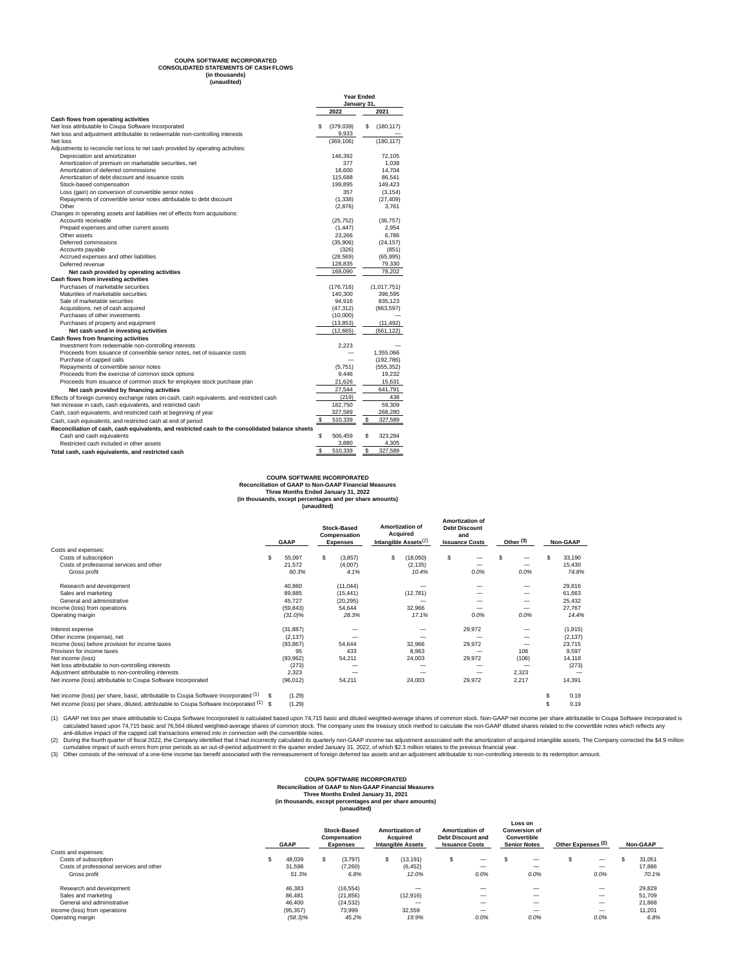#### **COUPA SOFTWARE INCORPORATED CONSOLIDATED STATEMENTS OF CASH FLOWS (in thousands) (unaudited)**

|                                                                                                  |    | <b>Year Ended</b><br>January 31, |    |             |
|--------------------------------------------------------------------------------------------------|----|----------------------------------|----|-------------|
|                                                                                                  |    | 2022                             |    | 2021        |
| Cash flows from operating activities                                                             |    |                                  |    |             |
| Net loss attributable to Coupa Software Incorporated                                             | Ŝ  | (379, 039)                       | S  | (180, 117)  |
| Net loss and adjustment attributable to redeemable non-controlling interests                     |    | 9.933                            |    |             |
| Net loss                                                                                         |    | (369.106)                        |    | (180, 117)  |
| Adjustments to reconcile net loss to net cash provided by operating activities:                  |    |                                  |    |             |
| Depreciation and amortization                                                                    |    | 146.392                          |    | 72.105      |
| Amortization of premium on marketable securities, net                                            |    | 377                              |    | 1.038       |
| Amortization of deferred commissions                                                             |    | 18,600                           |    | 14.704      |
| Amortization of debt discount and issuance costs                                                 |    | 115,688                          |    | 86,541      |
| Stock-based compensation                                                                         |    | 199,895                          |    | 149,423     |
| Loss (gain) on conversion of convertible senior notes                                            |    | 357                              |    | (3, 154)    |
| Repayments of convertible senior notes attributable to debt discount                             |    | (1.338)                          |    | (27, 409)   |
| Other                                                                                            |    | (2,876)                          |    | 3,761       |
| Changes in operating assets and liabilities net of effects from acquisitions:                    |    |                                  |    |             |
| Accounts receivable                                                                              |    | (25, 752)                        |    | (36, 757)   |
| Prepaid expenses and other current assets                                                        |    | (1, 447)                         |    | 2,954       |
| Other assets                                                                                     |    | 23,266                           |    | 6.786       |
| Deferred commissions                                                                             |    | (35,906)                         |    | (24, 157)   |
| Accounts payable                                                                                 |    | (326)                            |    | (851)       |
| Accrued expenses and other liabilities                                                           |    | (28.569)                         |    | (65.995)    |
| Deferred revenue                                                                                 |    | 128,835                          |    | 79,330      |
| Net cash provided by operating activities                                                        |    | 168,090                          |    | 78.202      |
| Cash flows from investing activities                                                             |    |                                  |    |             |
| Purchases of marketable securities                                                               |    | (176, 716)                       |    | (1,017,751) |
| Maturities of marketable securities                                                              |    | 140,300                          |    | 396,595     |
| Sale of marketable securities                                                                    |    | 94,916                           |    | 835,123     |
| Acquisitions, net of cash acquired                                                               |    | (47, 312)                        |    | (863, 597)  |
| Purchases of other investments                                                                   |    | (10,000)                         |    |             |
| Purchases of property and equipment                                                              |    | (13, 853)                        |    | (11.492)    |
| Net cash used in investing activities                                                            |    | (12, 665)                        |    | (661,122)   |
| Cash flows from financing activities                                                             |    |                                  |    |             |
| Investment from redeemable non-controlling interests                                             |    | 2.223                            |    |             |
| Proceeds from issuance of convertible senior notes, net of issuance costs                        |    |                                  |    | 1,355,066   |
| Purchase of capped calls                                                                         |    |                                  |    | (192, 786)  |
| Repayments of convertible senior notes                                                           |    | (5,751)                          |    | (555, 352)  |
| Proceeds from the exercise of common stock options                                               |    | 9,446                            |    | 19,232      |
| Proceeds from issuance of common stock for employee stock purchase plan                          |    | 21.626                           |    | 15,631      |
| Net cash provided by financing activities                                                        |    | 27,544                           |    | 641.791     |
| Effects of foreign currency exchange rates on cash, cash equivalents, and restricted cash        |    | (219)                            |    | 438         |
| Net increase in cash, cash equivalents, and restricted cash                                      |    | 182.750                          |    | 59.309      |
|                                                                                                  |    | 327.589                          |    | 268,280     |
| Cash, cash equivalents, and restricted cash at beginning of year                                 | \$ | 510,339                          | S  | 327,589     |
| Cash, cash equivalents, and restricted cash at end of period                                     |    |                                  |    |             |
| Reconciliation of cash, cash equivalents, and restricted cash to the consolidated balance sheets |    |                                  |    |             |
| Cash and cash equivalents                                                                        | S. | 506,459                          | Ś  | 323,284     |
| Restricted cash included in other assets                                                         |    | 3.880                            |    | 4.305       |
| Total cash, cash equivalents, and restricted cash                                                | S  | 510,339                          | \$ | 327,589     |

### **COUPA SOFTWARE INCORPORATED Reconciliation of GAAP to Non-GAAP Financial Measures Three Months Ended January 31, 2022 (in thousands, except percentages and per share amounts) (unaudited)**

|                                                                                       | <b>GAAP</b>  | <b>Stock-Based</b><br>Compensation<br><b>Expenses</b> | Amortization of<br>Acquired<br>Intangible Assets $(2)$ | Amortization of<br><b>Debt Discount</b><br>and<br><b>Issuance Costs</b> | Other $(3)$ | Non-GAAP      |
|---------------------------------------------------------------------------------------|--------------|-------------------------------------------------------|--------------------------------------------------------|-------------------------------------------------------------------------|-------------|---------------|
| Costs and expenses:                                                                   |              |                                                       |                                                        |                                                                         |             |               |
| Costs of subscription                                                                 | S<br>55,097  | s<br>(3,857)                                          | s<br>(18,050)                                          | \$                                                                      | s           | 33,190<br>\$. |
| Costs of professional services and other                                              | 21,572       | (4,007)                                               | (2, 135)                                               |                                                                         |             | 15,430        |
| Gross profit                                                                          | 60.3%        | 4.1%                                                  | 10.4%                                                  | 0.0%                                                                    | 0.0%        | 74.8%         |
| Research and development                                                              | 40,860       | (11, 044)                                             |                                                        |                                                                         |             | 29,816        |
| Sales and marketing                                                                   | 89,885       | (15, 441)                                             | (12, 781)                                              |                                                                         |             | 61,663        |
| General and administrative                                                            | 45,727       | (20, 295)                                             |                                                        |                                                                         |             | 25,432        |
| Income (loss) from operations                                                         | (59, 843)    | 54,644                                                | 32,966                                                 |                                                                         |             | 27,767        |
| Operating margin                                                                      | $(31.0)\%$   | 28.3%                                                 | 17.1%                                                  | 0.0%                                                                    | 0.0%        | 14.4%         |
| Interest expense                                                                      | (31, 887)    |                                                       |                                                        | 29,972                                                                  |             | (1, 915)      |
| Other income (expense), net                                                           | (2, 137)     |                                                       |                                                        |                                                                         |             | (2, 137)      |
| Income (loss) before provision for income taxes                                       | (93, 867)    | 54,644                                                | 32,966                                                 | 29,972                                                                  |             | 23,715        |
| Provision for income taxes                                                            | 95           | 433                                                   | 8,963                                                  |                                                                         | 106         | 9,597         |
| Net income (loss)                                                                     | (93, 962)    | 54,211                                                | 24,003                                                 | 29,972                                                                  | (106)       | 14,118        |
| Net loss attributable to non-controlling interests                                    | (273)        |                                                       |                                                        |                                                                         |             | (273)         |
| Adjustment attributable to non-controlling interests                                  | 2,323        |                                                       |                                                        |                                                                         | 2,323       |               |
| Net income (loss) attributable to Coupa Software Incorporated                         | (96, 012)    | 54,211                                                | 24,003                                                 | 29,972                                                                  | 2,217       | 14,391        |
| Net income (loss) per share, basic, attributable to Coupa Software Incorporated (1)   | (1.29)<br>-S |                                                       |                                                        |                                                                         |             | 0.19<br>\$.   |
| Net income (loss) per share, diluted, attributable to Coupa Software Incorporated (1) | (1.29)       |                                                       |                                                        |                                                                         |             | 0.19          |

(1) GAAP net loss per share attributable to Coupa Software Incorporated is calculated based upon 74,715 basic and diluted weighted-average shares of common stock. Non-GAAP net income per share attributable to Coupa Softwar

**COUPA SOFTWARE INCORPORATED Reconciliation of GAAP to Non-GAAP Financial Measures Three Months Ended January 31, 2021 (in thousands, except percentages and per share amounts) (unaudited)**

| (unaudited)<br>--------- |  |
|--------------------------|--|
|                          |  |

| Costs and expenses:                      | <b>GAAP</b> |   | <b>Stock-Based</b><br>Compensation<br><b>Expenses</b> | Amortization of<br><b>Acquired</b><br><b>Intangible Assets</b> |   | Amortization of<br><b>Debt Discount and</b><br><b>Issuance Costs</b> |    | Loss on<br><b>Conversion of</b><br>Convertible<br><b>Senior Notes</b> | Other Expenses (2) |                                 | <b>Non-GAAP</b> |
|------------------------------------------|-------------|---|-------------------------------------------------------|----------------------------------------------------------------|---|----------------------------------------------------------------------|----|-----------------------------------------------------------------------|--------------------|---------------------------------|-----------------|
| Costs of subscription                    | 48.039      | S | (3,797)                                               | (13, 191)                                                      | S |                                                                      |    |                                                                       |                    |                                 | 31,051          |
|                                          |             |   |                                                       |                                                                |   | $\overline{\phantom{0}}$                                             | эh | $\qquad \qquad \  \, -$                                               |                    | $\hspace{0.1mm}-\hspace{0.1mm}$ |                 |
| Costs of professional services and other | 31.598      |   | (7,260)                                               | (6, 452)                                                       |   | $\overline{\phantom{0}}$                                             |    | $\overline{\phantom{0}}$                                              |                    | $\overline{\phantom{0}}$        | 17,886          |
| Gross profit                             | 51.3%       |   | 6.8%                                                  | 12.0%                                                          |   | 0.0%                                                                 |    | 0.0%                                                                  |                    | 0.0%                            | 70.1%           |
| Research and development                 | 46.383      |   | (16, 554)                                             |                                                                |   |                                                                      |    | $\overline{\phantom{0}}$                                              |                    | -                               | 29,829          |
| Sales and marketing                      | 86.481      |   | (21, 856)                                             | (12, 916)                                                      |   | $-$                                                                  |    |                                                                       |                    | $\qquad \qquad =$               | 51.709          |
| General and administrative               | 46.400      |   | (24, 532)                                             | –                                                              |   | <b>Service</b>                                                       |    | $\overline{\phantom{0}}$                                              |                    | $\overline{\phantom{m}}$        | 21.868          |
| Income (loss) from operations            | (95, 357)   |   | 73.999                                                | 32.559                                                         |   | $\overline{\phantom{0}}$                                             |    | $\overline{\phantom{0}}$                                              |                    | -                               | 11.201          |
| Operating margin                         | $(58.3)\%$  |   | 45.2%                                                 | 19.9%                                                          |   | 0.0%                                                                 |    | 0.0%                                                                  |                    | 0.0%                            | 6.8%            |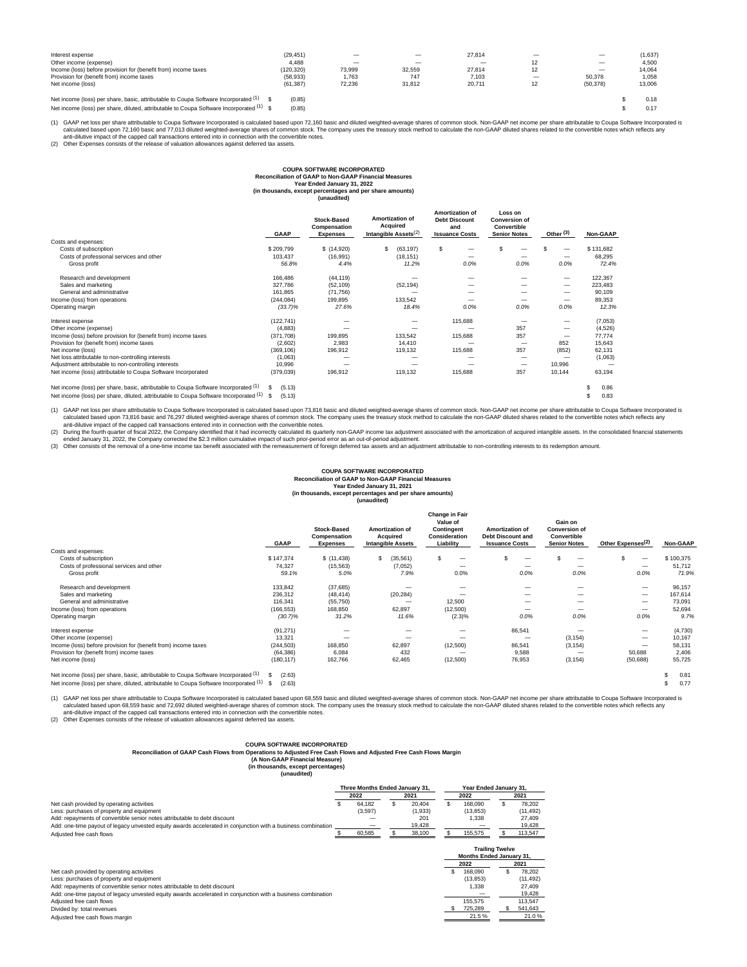| Interest expense                                                                         | (29, 451) |        | $\overline{\phantom{0}}$ | 27.814 | _                        | —                        | (1,637) |
|------------------------------------------------------------------------------------------|-----------|--------|--------------------------|--------|--------------------------|--------------------------|---------|
| Other income (expense)                                                                   | 4.488     |        | -                        |        |                          |                          | 4.500   |
| Income (loss) before provision for (benefit from) income taxes                           | (120.320) | 73.999 | 32.559                   | 27.814 | 12                       | $\overline{\phantom{0}}$ | 14.064  |
| Provision for (benefit from) income taxes                                                | (58, 933) | 1.763  | 747                      | 7.103  | $\overline{\phantom{0}}$ | 50.378                   | 1,058   |
| Net income (loss)                                                                        | (61, 387) | 72.236 | 31.812                   | 20.711 | 12                       | (50.378)                 | 13,006  |
| Net income (loss) per share, basic, attributable to Coupa Software Incorporated (1) \$   | (0.85)    |        |                          |        |                          |                          | 0.18    |
| Net income (loss) per share, diluted, attributable to Coupa Software Incorporated (1) \$ | (0.85)    |        |                          |        |                          |                          | 0.17    |

(1) GAAP net loss per share attributable to Coupa Software Incorporated is calculated based upon 72,160 basic and diluted weighted-average shares of common stock. Non-GAAP net income per share attributable to Coupa Softwar

## **COUPA SOFTWARE INCORPORATED**

Reconciliation of GAAP to Non-GAAP Financial Measures<br>Year Ended January 31, 2022<br>(in thousands, except percentages and per share amounts)<br>(unaudited)

|                                                                                     | <b>GAAP</b>  | <b>Stock-Based</b><br>Compensation<br><b>Expenses</b> | Amortization of<br>Acquired<br>Intangible Assets $(2)$ | Amortization of<br><b>Debt Discount</b><br>and<br><b>Issuance Costs</b> | Loss on<br><b>Conversion of</b><br>Convertible<br><b>Senior Notes</b> | Other <sup>(3)</sup> | Non-GAAP  |
|-------------------------------------------------------------------------------------|--------------|-------------------------------------------------------|--------------------------------------------------------|-------------------------------------------------------------------------|-----------------------------------------------------------------------|----------------------|-----------|
| Costs and expenses:                                                                 |              |                                                       |                                                        |                                                                         |                                                                       |                      |           |
| Costs of subscription                                                               | \$209,799    | \$(14,920)                                            | (63, 197)                                              | \$                                                                      | \$                                                                    | \$                   | \$131,682 |
| Costs of professional services and other                                            | 103.437      | (16, 991)                                             | (18, 151)                                              | $\overline{\phantom{0}}$                                                | -                                                                     | —                    | 68,295    |
| Gross profit                                                                        | 56.8%        | 4.4%                                                  | 11.2%                                                  | 0.0%                                                                    | 0.0%                                                                  | 0.0%                 | 72.4%     |
| Research and development                                                            | 166,486      | (44, 119)                                             |                                                        |                                                                         |                                                                       | –                    | 122,367   |
| Sales and marketing                                                                 | 327.786      | (52, 109)                                             | (52, 194)                                              |                                                                         |                                                                       | –                    | 223,483   |
| General and administrative                                                          | 161,865      | (71, 756)                                             |                                                        | –                                                                       |                                                                       | —                    | 90,109    |
| Income (loss) from operations                                                       | (244, 084)   | 199,895                                               | 133,542                                                |                                                                         |                                                                       | —                    | 89,353    |
| Operating margin                                                                    | $(33.7)\%$   | 27.6%                                                 | 18.4%                                                  | 0.0%                                                                    | 0.0%                                                                  | 0.0%                 | 12.3%     |
| Interest expense                                                                    | (122, 741)   |                                                       |                                                        | 115,688                                                                 |                                                                       |                      | (7,053)   |
| Other income (expense)                                                              | (4,883)      |                                                       |                                                        |                                                                         | 357                                                                   | –                    | (4,526)   |
| Income (loss) before provision for (benefit from) income taxes                      | (371,708)    | 199,895                                               | 133,542                                                | 115,688                                                                 | 357                                                                   |                      | 77,774    |
| Provision for (benefit from) income taxes                                           | (2,602)      | 2.983                                                 | 14.410                                                 |                                                                         | -                                                                     | 852                  | 15.643    |
| Net income (loss)                                                                   | (369, 106)   | 196,912                                               | 119,132                                                | 115,688                                                                 | 357                                                                   | (852)                | 62,131    |
| Net loss attributable to non-controlling interests                                  | (1,063)      |                                                       |                                                        |                                                                         | -                                                                     |                      | (1,063)   |
| Adjustment attributable to non-controlling interests                                | 10,996       |                                                       |                                                        |                                                                         |                                                                       | 10,996               |           |
| Net income (loss) attributable to Coupa Software Incorporated                       | (379, 039)   | 196,912                                               | 119,132                                                | 115,688                                                                 | 357                                                                   | 10,144               | 63,194    |
| Net income (loss) per share, basic, attributable to Coupa Software Incorporated (1) | S.<br>(5.13) |                                                       |                                                        |                                                                         |                                                                       |                      | 0.86      |

Net income (loss) per share, diluted, attributable to Coupa Software Incorporated (1)  $\frac{1}{3}$  (5.13) \$ 0.83

(1) GAAP net loss per share attributable to Coupa Software Incorporated is calculated based upon 73,816 basic and diluted weighted-average shares of common stock. Non-GAAP net income per share attributable to Coupa Softwar

### **COUPA SOFTWARE INCORPORATED** Reconciliation of GAAP to Non-GAAP Financial Measures<br>Year Ended January 31, 2021<br>(in thousands, except percentages and per share amounts)<br>(unaudited)

|                                                                                       | <b>GAAP</b>  | <b>Stock-Based</b><br>Compensation<br><b>Expenses</b> | Amortization of<br>Acquired<br><b>Intangible Assets</b> | Change in Fair<br>Value of<br>Contingent<br>Consideration<br>Liability | Amortization of<br><b>Debt Discount and</b><br><b>Issuance Costs</b> | Gain on<br><b>Conversion of</b><br>Convertible<br><b>Senior Notes</b> | Other Expenses <sup>(2)</sup> | Non-GAAP  |  |
|---------------------------------------------------------------------------------------|--------------|-------------------------------------------------------|---------------------------------------------------------|------------------------------------------------------------------------|----------------------------------------------------------------------|-----------------------------------------------------------------------|-------------------------------|-----------|--|
| Costs and expenses:                                                                   |              |                                                       |                                                         |                                                                        |                                                                      |                                                                       |                               |           |  |
| Costs of subscription                                                                 | \$147.374    | \$(11, 438)                                           | s.<br>(35,561)                                          | \$<br>$\equiv$                                                         | \$<br>-                                                              |                                                                       | \$<br>-                       | \$100,375 |  |
| Costs of professional services and other                                              | 74,327       | (15, 563)                                             | (7,052)                                                 |                                                                        |                                                                      |                                                                       | –                             | 51,712    |  |
| Gross profit                                                                          | 59.1%        | 5.0%                                                  | 7.9%                                                    | 0.0%                                                                   | 0.0%                                                                 | 0.0%                                                                  | 0.0%                          | 71.9%     |  |
| Research and development                                                              | 133,842      | (37,685)                                              |                                                         |                                                                        |                                                                      |                                                                       | –                             | 96,157    |  |
| Sales and marketing                                                                   | 236,312      | (48, 414)                                             | (20, 284)                                               |                                                                        |                                                                      |                                                                       | –                             | 167,614   |  |
| General and administrative                                                            | 116,341      | (55,750)                                              |                                                         | 12,500                                                                 | –                                                                    | $\overline{\phantom{0}}$                                              | –                             | 73,091    |  |
| Income (loss) from operations                                                         | (166, 553)   | 168,850                                               | 62,897                                                  | (12,500)                                                               |                                                                      |                                                                       | –                             | 52,694    |  |
| Operating margin                                                                      | $(30.7)\%$   | 31.2%                                                 | 11.6%                                                   | $(2.3)\%$                                                              | 0.0%                                                                 | 0.0%                                                                  | 0.0%                          | 9.7%      |  |
| Interest expense                                                                      | (91, 271)    |                                                       |                                                         | –                                                                      | 86,541                                                               |                                                                       | —                             | (4,730)   |  |
| Other income (expense)                                                                | 13,321       |                                                       |                                                         |                                                                        |                                                                      | (3, 154)                                                              | –                             | 10,167    |  |
| Income (loss) before provision for (benefit from) income taxes                        | (244, 503)   | 168,850                                               | 62,897                                                  | (12, 500)                                                              | 86,541                                                               | (3, 154)                                                              |                               | 58,131    |  |
| Provision for (benefit from) income taxes                                             | (64, 386)    | 6,084                                                 | 432                                                     |                                                                        | 9,588                                                                |                                                                       | 50,688                        | 2,406     |  |
| Net income (loss)                                                                     | (180, 117)   | 162,766                                               | 62,465                                                  | (12, 500)                                                              | 76,953                                                               | (3, 154)                                                              | (50, 688)                     | 55,725    |  |
| Net income (loss) per share, basic, attributable to Coupa Software Incorporated (1)   | (2.63)<br>s  |                                                       |                                                         |                                                                        |                                                                      |                                                                       |                               | S<br>0.81 |  |
| Net income (loss) per share, diluted, attributable to Coupa Software Incorporated (1) | (2.63)<br>-S |                                                       |                                                         |                                                                        |                                                                      |                                                                       |                               | 0.77<br>S |  |
|                                                                                       |              |                                                       |                                                         |                                                                        |                                                                      |                                                                       |                               |           |  |

(1) GAAP net loss per share attributable to Coupa Software Incorporated is calculated based upon 68,559 basic and diluted weighted-average shares of common stock. Non-GAAP net income per share attributable to Coupa Softwar

### **COUPA SOFTWARE INCORPORATED Reconciliation of GAAP Cash Flows from Operations to Adjusted Free Cash Flows and Adjusted Free Cash Flows Margin (A Non-GAAP Financial Measure) (in thousands, except percentages) (unaudited)**

| (unaudited)                                                                                                  |                                |         |     |         |     |                          |     |           |  |  |
|--------------------------------------------------------------------------------------------------------------|--------------------------------|---------|-----|---------|-----|--------------------------|-----|-----------|--|--|
|                                                                                                              | Three Months Ended January 31, |         |     |         |     | Year Ended Januarv 31.   |     |           |  |  |
|                                                                                                              | 2022                           |         |     | 2021    |     | 2022                     |     | 2021      |  |  |
| Net cash provided by operating activities                                                                    |                                | 64.182  | \$. | 20.404  |     | 168,090                  | \$. | 78.202    |  |  |
| Less: purchases of property and equipment                                                                    |                                | (3,597) |     | (1,933) |     | (13, 853)                |     | (11, 492) |  |  |
| Add: repayments of convertible senior notes attributable to debt discount                                    |                                |         |     | 201     |     | 1.338                    |     | 27,409    |  |  |
| Add: one-time payout of legacy unvested equity awards accelerated in conjunction with a business combination |                                |         |     | 19,428  |     |                          |     | 19,428    |  |  |
| Adjusted free cash flows                                                                                     |                                | 60,585  |     | 38,100  |     | 155,575                  |     | 113,547   |  |  |
|                                                                                                              |                                |         |     |         |     | <b>Trailing Twelve</b>   |     |           |  |  |
|                                                                                                              |                                |         |     |         |     | Months Ended January 31. |     |           |  |  |
|                                                                                                              |                                |         |     |         |     | 2022                     |     | 2021      |  |  |
| Net cash provided by operating activities                                                                    |                                |         |     |         | \$. | 168,090                  |     | 78.202    |  |  |
| Less: purchases of property and equipment                                                                    |                                |         |     |         |     | (13, 853)                |     | (11, 492) |  |  |
| Add: repayments of convertible senior notes attributable to debt discount                                    |                                |         |     |         |     | 1.338                    |     | 27,409    |  |  |
| Add: one-time payout of legacy unvested equity awards accelerated in conjunction with a business combination |                                |         |     |         |     |                          |     | 19.428    |  |  |
| Adjusted free cash flows                                                                                     |                                |         |     |         |     | 155,575                  |     | 113.547   |  |  |
| Divided by: total revenues                                                                                   |                                |         |     |         |     | 725.289                  |     | 541.643   |  |  |
| Adjusted free cash flows margin                                                                              |                                |         |     |         |     | 21.5%                    |     | 21.0%     |  |  |

Adjusted free cash flows margin